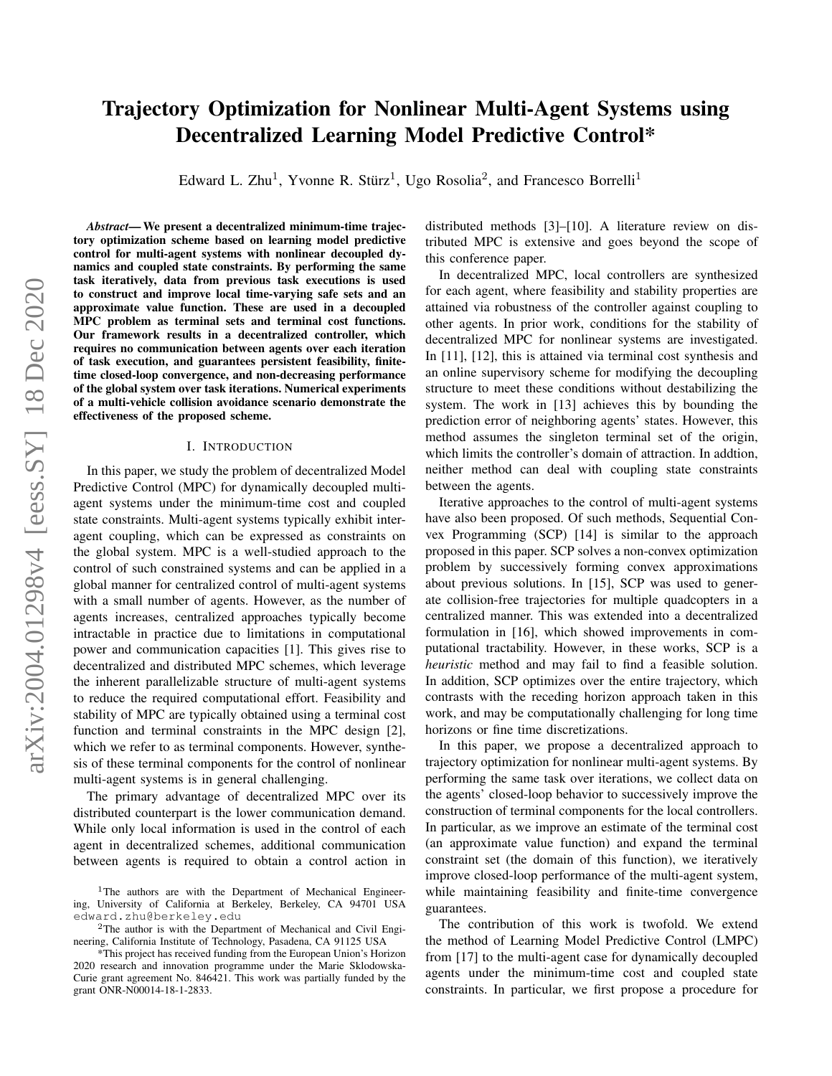# arXiv:2004.01298v4 [eess.SY] 18 Dec 2020 arXiv:2004.01298v4 [eess.SY] 18 Dec 2020

# Trajectory Optimization for Nonlinear Multi-Agent Systems using Decentralized Learning Model Predictive Control\*

Edward L. Zhu<sup>1</sup>, Yvonne R. Stürz<sup>1</sup>, Ugo Rosolia<sup>2</sup>, and Francesco Borrelli<sup>1</sup>

*Abstract*— We present a decentralized minimum-time trajectory optimization scheme based on learning model predictive control for multi-agent systems with nonlinear decoupled dynamics and coupled state constraints. By performing the same task iteratively, data from previous task executions is used to construct and improve local time-varying safe sets and an approximate value function. These are used in a decoupled MPC problem as terminal sets and terminal cost functions. Our framework results in a decentralized controller, which requires no communication between agents over each iteration of task execution, and guarantees persistent feasibility, finitetime closed-loop convergence, and non-decreasing performance of the global system over task iterations. Numerical experiments of a multi-vehicle collision avoidance scenario demonstrate the effectiveness of the proposed scheme.

#### I. INTRODUCTION

In this paper, we study the problem of decentralized Model Predictive Control (MPC) for dynamically decoupled multiagent systems under the minimum-time cost and coupled state constraints. Multi-agent systems typically exhibit interagent coupling, which can be expressed as constraints on the global system. MPC is a well-studied approach to the control of such constrained systems and can be applied in a global manner for centralized control of multi-agent systems with a small number of agents. However, as the number of agents increases, centralized approaches typically become intractable in practice due to limitations in computational power and communication capacities [1]. This gives rise to decentralized and distributed MPC schemes, which leverage the inherent parallelizable structure of multi-agent systems to reduce the required computational effort. Feasibility and stability of MPC are typically obtained using a terminal cost function and terminal constraints in the MPC design [2], which we refer to as terminal components. However, synthesis of these terminal components for the control of nonlinear multi-agent systems is in general challenging.

The primary advantage of decentralized MPC over its distributed counterpart is the lower communication demand. While only local information is used in the control of each agent in decentralized schemes, additional communication between agents is required to obtain a control action in

distributed methods [3]–[10]. A literature review on distributed MPC is extensive and goes beyond the scope of this conference paper.

In decentralized MPC, local controllers are synthesized for each agent, where feasibility and stability properties are attained via robustness of the controller against coupling to other agents. In prior work, conditions for the stability of decentralized MPC for nonlinear systems are investigated. In [11], [12], this is attained via terminal cost synthesis and an online supervisory scheme for modifying the decoupling structure to meet these conditions without destabilizing the system. The work in [13] achieves this by bounding the prediction error of neighboring agents' states. However, this method assumes the singleton terminal set of the origin, which limits the controller's domain of attraction. In addtion, neither method can deal with coupling state constraints between the agents.

Iterative approaches to the control of multi-agent systems have also been proposed. Of such methods, Sequential Convex Programming (SCP) [14] is similar to the approach proposed in this paper. SCP solves a non-convex optimization problem by successively forming convex approximations about previous solutions. In [15], SCP was used to generate collision-free trajectories for multiple quadcopters in a centralized manner. This was extended into a decentralized formulation in [16], which showed improvements in computational tractability. However, in these works, SCP is a *heuristic* method and may fail to find a feasible solution. In addition, SCP optimizes over the entire trajectory, which contrasts with the receding horizon approach taken in this work, and may be computationally challenging for long time horizons or fine time discretizations.

In this paper, we propose a decentralized approach to trajectory optimization for nonlinear multi-agent systems. By performing the same task over iterations, we collect data on the agents' closed-loop behavior to successively improve the construction of terminal components for the local controllers. In particular, as we improve an estimate of the terminal cost (an approximate value function) and expand the terminal constraint set (the domain of this function), we iteratively improve closed-loop performance of the multi-agent system, while maintaining feasibility and finite-time convergence guarantees.

The contribution of this work is twofold. We extend the method of Learning Model Predictive Control (LMPC) from [17] to the multi-agent case for dynamically decoupled agents under the minimum-time cost and coupled state constraints. In particular, we first propose a procedure for

<sup>&</sup>lt;sup>1</sup>The authors are with the Department of Mechanical Engineering, University of California at Berkeley, Berkeley, CA 94701 USA edward.zhu@berkeley.edu

<sup>2</sup>The author is with the Department of Mechanical and Civil Engineering, California Institute of Technology, Pasadena, CA 91125 USA

<sup>\*</sup>This project has received funding from the European Union's Horizon 2020 research and innovation programme under the Marie Sklodowska-Curie grant agreement No. 846421. This work was partially funded by the grant ONR-N00014-18-1-2833.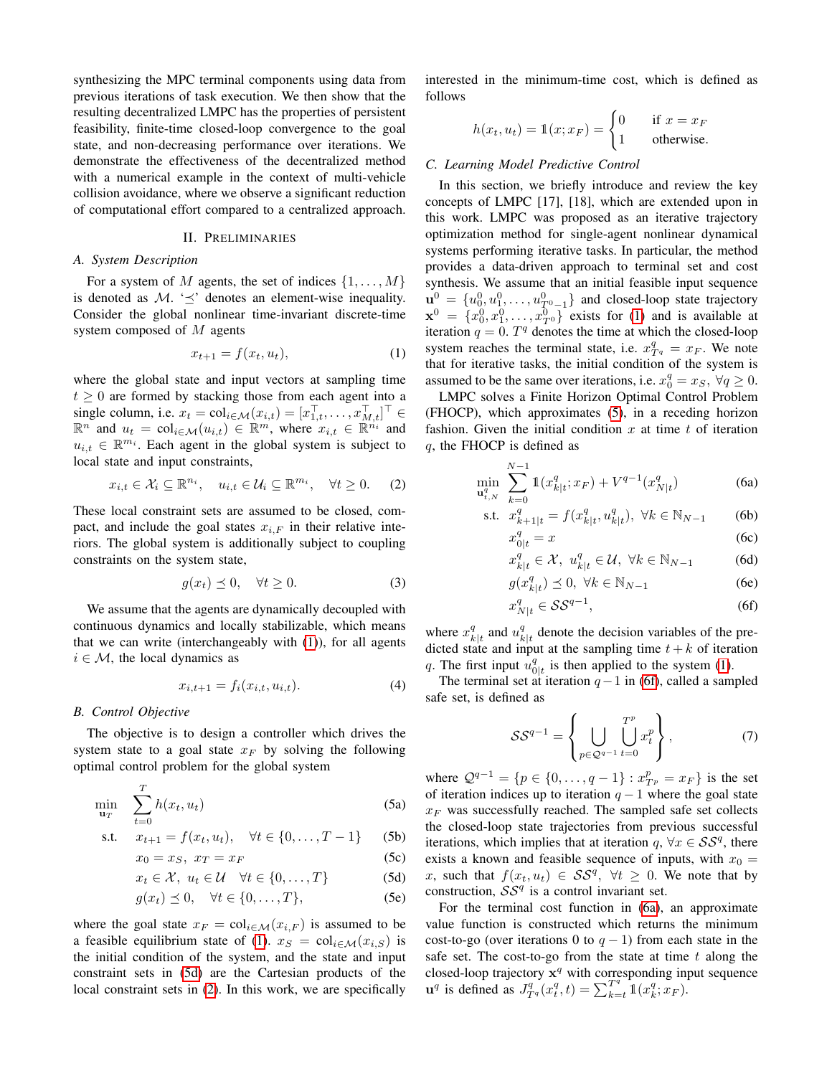synthesizing the MPC terminal components using data from previous iterations of task execution. We then show that the resulting decentralized LMPC has the properties of persistent feasibility, finite-time closed-loop convergence to the goal state, and non-decreasing performance over iterations. We demonstrate the effectiveness of the decentralized method with a numerical example in the context of multi-vehicle collision avoidance, where we observe a significant reduction of computational effort compared to a centralized approach.

#### II. PRELIMINARIES

#### *A. System Description*

For a system of M agents, the set of indices  $\{1, \ldots, M\}$ is denoted as  $\mathcal{M}$ . ' $\preceq$ ' denotes an element-wise inequality. Consider the global nonlinear time-invariant discrete-time system composed of M agents

$$
x_{t+1} = f(x_t, u_t), \tag{1}
$$

where the global state and input vectors at sampling time  $t \geq 0$  are formed by stacking those from each agent into a single column, i.e.  $x_t = \text{col}_{i \in \mathcal{M}}(x_{i,t}) = [x_{1,t}^\top, \dots, x_{M,t}^\top]^\top \in$  $\mathbb{R}^n$  and  $u_t = \text{col}_{i \in \mathcal{M}}(u_{i,t}) \in \mathbb{R}^m$ , where  $x_{i,t} \in \mathbb{R}^{n_i}$  and  $u_{i,t} \in \mathbb{R}^{m_i}$ . Each agent in the global system is subject to local state and input constraints,

<span id="page-1-2"></span>
$$
x_{i,t} \in \mathcal{X}_i \subseteq \mathbb{R}^{n_i}, \quad u_{i,t} \in \mathcal{U}_i \subseteq \mathbb{R}^{m_i}, \quad \forall t \ge 0. \tag{2}
$$

These local constraint sets are assumed to be closed, compact, and include the goal states  $x_{i,F}$  in their relative interiors. The global system is additionally subject to coupling constraints on the system state,

$$
g(x_t) \preceq 0, \quad \forall t \ge 0. \tag{3}
$$

We assume that the agents are dynamically decoupled with continuous dynamics and locally stabilizable, which means that we can write (interchangeably with [\(1\)](#page-1-0)), for all agents  $i \in \mathcal{M}$ , the local dynamics as

$$
x_{i,t+1} = f_i(x_{i,t}, u_{i,t}).
$$
\n(4)

#### *B. Control Objective*

The objective is to design a controller which drives the system state to a goal state  $x_F$  by solving the following optimal control problem for the global system

$$
\min_{\mathbf{u}_T} \quad \sum_{t=0}^T h(x_t, u_t) \tag{5a}
$$

s.t. 
$$
x_{t+1} = f(x_t, u_t), \quad \forall t \in \{0, ..., T-1\}
$$
 (5b)

$$
x_0 = x_S, \ x_T = x_F \tag{5c}
$$

$$
x_t \in \mathcal{X}, \ u_t \in \mathcal{U} \quad \forall t \in \{0, \dots, T\} \tag{5d}
$$

$$
g(x_t) \preceq 0, \quad \forall t \in \{0, \dots, T\},\tag{5e}
$$

where the goal state  $x_F = \text{col}_{i \in \mathcal{M}}(x_{i,F})$  is assumed to be a feasible equilibrium state of [\(1\)](#page-1-0).  $x_S = \text{col}_{i \in \mathcal{M}}(x_{i,S})$  is the initial condition of the system, and the state and input constraint sets in [\(5d\)](#page-1-1) are the Cartesian products of the local constraint sets in [\(2\)](#page-1-2). In this work, we are specifically interested in the minimum-time cost, which is defined as follows

$$
h(x_t, u_t) = \mathbb{1}(x; x_F) = \begin{cases} 0 & \text{if } x = x_F \\ 1 & \text{otherwise.} \end{cases}
$$

# <span id="page-1-6"></span>*C. Learning Model Predictive Control*

In this section, we briefly introduce and review the key concepts of LMPC [17], [18], which are extended upon in this work. LMPC was proposed as an iterative trajectory optimization method for single-agent nonlinear dynamical systems performing iterative tasks. In particular, the method provides a data-driven approach to terminal set and cost synthesis. We assume that an initial feasible input sequence  $\mathbf{u}_0^0 = \{u_0^0, u_1^0, \dots, u_{T^0-1}^0\}$  and closed-loop state trajectory  $\mathbf{x}^0 = \{x_0^0, x_1^0, \dots, x_{T^0}^0\}$  exists for [\(1\)](#page-1-0) and is available at iteration  $q = 0$ .  $T<sup>q</sup>$  denotes the time at which the closed-loop system reaches the terminal state, i.e.  $x_{T_q}^q = x_F$ . We note that for iterative tasks, the initial condition of the system is assumed to be the same over iterations, i.e.  $x_0^q = x_S$ ,  $\forall q \ge 0$ .

<span id="page-1-0"></span>LMPC solves a Finite Horizon Optimal Control Problem (FHOCP), which approximates [\(5\)](#page-1-3), in a receding horizon fashion. Given the initial condition  $x$  at time  $t$  of iteration q, the FHOCP is defined as

$$
\min_{\mathbf{u}_{t,N}^q} \sum_{k=0}^{N-1} \mathbb{1}(x_{k|t}^q; x_F) + V^{q-1}(x_{N|t}^q)
$$
 (6a)

s.t. 
$$
x_{k+1|t}^q = f(x_{k|t}^q, u_{k|t}^q), \ \forall k \in \mathbb{N}_{N-1}
$$
 (6b)  
 $x_{k|t}^q = x$  (6c)

<span id="page-1-5"></span><span id="page-1-4"></span>
$$
\frac{q}{0|t} = x \tag{6c}
$$

$$
x_{k|t}^q \in \mathcal{X}, \ u_{k|t}^q \in \mathcal{U}, \ \forall k \in \mathbb{N}_{N-1} \tag{6d}
$$

$$
g(x_{k|t}^q) \preceq 0, \ \forall k \in \mathbb{N}_{N-1} \tag{6e}
$$

$$
x_{N|t}^q \in \mathcal{SS}^{q-1},\tag{6f}
$$

where  $x_k^q$  $_{k|t}^q$  and  $u_k^q$  $_{k|t}^{q}$  denote the decision variables of the predicted state and input at the sampling time  $t + k$  of iteration q. The first input  $\hat{u}_0^q$  $_{0|t}^{q}$  is then applied to the system [\(1\)](#page-1-0).

<span id="page-1-8"></span>The terminal set at iteration  $q-1$  in [\(6f\)](#page-1-4), called a sampled safe set, is defined as

<span id="page-1-7"></span>
$$
SS^{q-1} = \left\{ \bigcup_{p \in \mathcal{Q}^{q-1}} \bigcup_{t=0}^{T^p} x_t^p \right\},\tag{7}
$$

<span id="page-1-3"></span>where  $Q^{q-1} = \{p \in \{0, ..., q-1\} : x_{T_p}^p = x_F\}$  is the set of iteration indices up to iteration  $q - 1$  where the goal state  $x_F$  was successfully reached. The sampled safe set collects the closed-loop state trajectories from previous successful iterations, which implies that at iteration  $q, \forall x \in S S^q$ , there exists a known and feasible sequence of inputs, with  $x_0 =$ x, such that  $f(x_t, u_t) \in \mathcal{SS}^q$ ,  $\forall t \geq 0$ . We note that by construction,  $SS^q$  is a control invariant set.

<span id="page-1-1"></span>For the terminal cost function in [\(6a\)](#page-1-5), an approximate value function is constructed which returns the minimum cost-to-go (over iterations 0 to  $q - 1$ ) from each state in the safe set. The cost-to-go from the state at time  $t$  along the closed-loop trajectory  $x^q$  with corresponding input sequence  $\mathbf{u}^q$  is defined as  $J_{T^q}^q(x_t^q, t) = \sum_{k=t}^{T^q} \mathbb{1}(x_k^q, x_F)$ .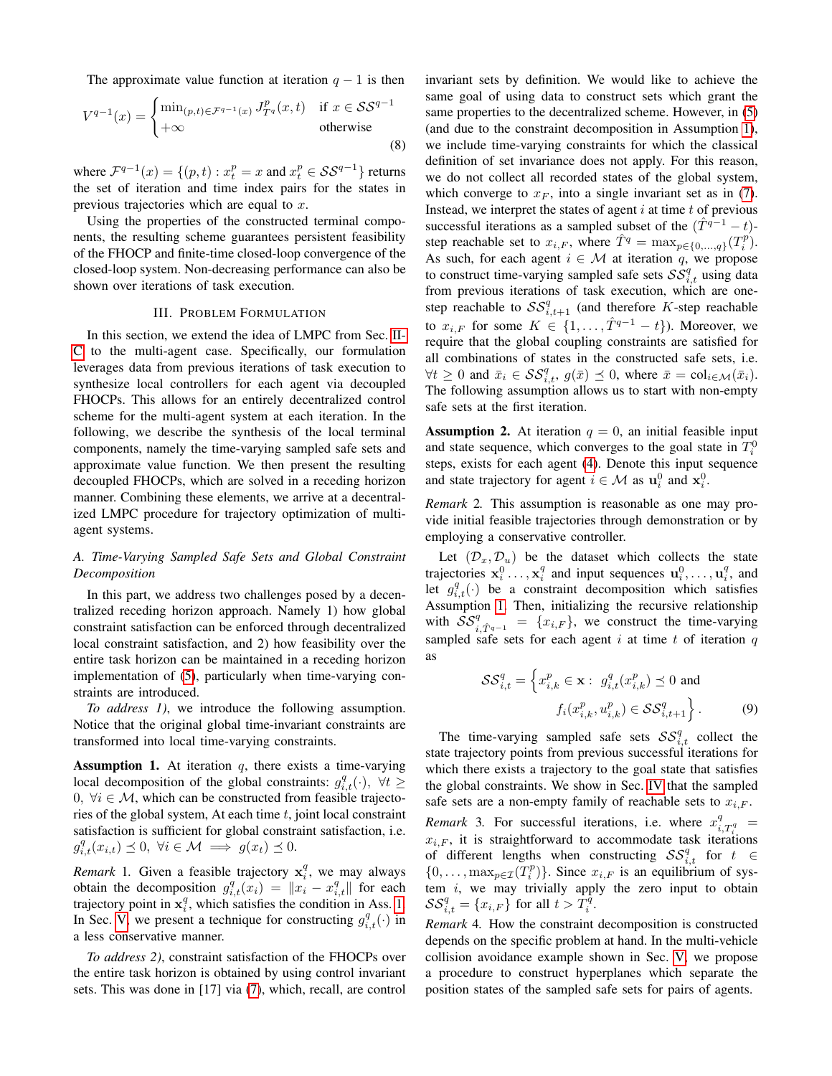The approximate value function at iteration  $q - 1$  is then

$$
V^{q-1}(x) = \begin{cases} \min_{(p,t)\in \mathcal{F}^{q-1}(x)} J_{T^q}^p(x,t) & \text{if } x \in \mathcal{SS}^{q-1} \\ +\infty & \text{otherwise} \end{cases}
$$
(8)

where  $\mathcal{F}^{q-1}(x) = \{(p, t) : x_t^p = x \text{ and } x_t^p \in \mathcal{S} \mathcal{S}^{q-1}\}\)$  returns the set of iteration and time index pairs for the states in previous trajectories which are equal to  $x$ .

Using the properties of the constructed terminal components, the resulting scheme guarantees persistent feasibility of the FHOCP and finite-time closed-loop convergence of the closed-loop system. Non-decreasing performance can also be shown over iterations of task execution.

# III. PROBLEM FORMULATION

In this section, we extend the idea of LMPC from Sec. [II-](#page-1-6)[C](#page-1-6) to the multi-agent case. Specifically, our formulation leverages data from previous iterations of task execution to synthesize local controllers for each agent via decoupled FHOCPs. This allows for an entirely decentralized control scheme for the multi-agent system at each iteration. In the following, we describe the synthesis of the local terminal components, namely the time-varying sampled safe sets and approximate value function. We then present the resulting decoupled FHOCPs, which are solved in a receding horizon manner. Combining these elements, we arrive at a decentralized LMPC procedure for trajectory optimization of multiagent systems.

# *A. Time-Varying Sampled Safe Sets and Global Constraint Decomposition*

In this part, we address two challenges posed by a decentralized receding horizon approach. Namely 1) how global constraint satisfaction can be enforced through decentralized local constraint satisfaction, and 2) how feasibility over the entire task horizon can be maintained in a receding horizon implementation of [\(5\)](#page-1-3), particularly when time-varying constraints are introduced.

*To address 1)*, we introduce the following assumption. Notice that the original global time-invariant constraints are transformed into local time-varying constraints.

<span id="page-2-0"></span>**Assumption 1.** At iteration  $q$ , there exists a time-varying local decomposition of the global constraints:  $g_{i,t}^q(\cdot)$ ,  $\forall t \geq$  $0, \forall i \in \mathcal{M}$ , which can be constructed from feasible trajectories of the global system, At each time  $t$ , joint local constraint satisfaction is sufficient for global constraint satisfaction, i.e.  $g_{i,t}^q(x_{i,t}) \preceq 0, \ \forall i \in \mathcal{M} \implies g(x_t) \preceq 0.$ 

*Remark* 1. Given a feasible trajectory  $x_i^q$ , we may always obtain the decomposition  $g_{i,t}^q(x_i) = ||x_i - x_{i,t}^q||$  for each trajectory point in  $x_i^q$ , which satisfies the condition in Ass. [1.](#page-2-0) In Sec. [V,](#page-5-0) we present a technique for constructing  $g_{i,t}^q(\cdot)$  in a less conservative manner.

*To address 2)*, constraint satisfaction of the FHOCPs over the entire task horizon is obtained by using control invariant sets. This was done in [17] via [\(7\)](#page-1-7), which, recall, are control <span id="page-2-1"></span>invariant sets by definition. We would like to achieve the same goal of using data to construct sets which grant the same properties to the decentralized scheme. However, in [\(5\)](#page-1-3) (and due to the constraint decomposition in Assumption [1\)](#page-2-0), we include time-varying constraints for which the classical definition of set invariance does not apply. For this reason, we do not collect all recorded states of the global system, which converge to  $x_F$ , into a single invariant set as in [\(7\)](#page-1-7). Instead, we interpret the states of agent  $i$  at time  $t$  of previous successful iterations as a sampled subset of the  $(T<sup>q-1</sup> - t)$ step reachable set to  $x_{i,F}$ , where  $\hat{T}^q = \max_{p \in \{0, ..., q\}} (T_i^p)$ . As such, for each agent  $i \in \mathcal{M}$  at iteration q, we propose to construct time-varying sampled safe sets  $\mathcal{SS}_{i,t}^q$  using data from previous iterations of task execution, which are onestep reachable to  $SS_{i,t+1}^q$  (and therefore K-step reachable to  $x_{i,F}$  for some  $K \in \{1,\ldots,\hat{T}^{q-1}-t\}$ ). Moreover, we require that the global coupling constraints are satisfied for all combinations of states in the constructed safe sets, i.e.  $\forall t \geq 0$  and  $\bar{x}_i \in \mathcal{SS}_{i,t}^q$ ,  $g(\bar{x}) \preceq 0$ , where  $\bar{x} = \text{col}_{i \in \mathcal{M}}(\bar{x}_i)$ . The following assumption allows us to start with non-empty safe sets at the first iteration.

<span id="page-2-4"></span>**Assumption 2.** At iteration  $q = 0$ , an initial feasible input and state sequence, which converges to the goal state in  $T_i^0$ steps, exists for each agent [\(4\)](#page-1-8). Denote this input sequence and state trajectory for agent  $i \in \mathcal{M}$  as  $\mathbf{u}_i^0$  and  $\mathbf{x}_i^0$ .

*Remark* 2*.* This assumption is reasonable as one may provide initial feasible trajectories through demonstration or by employing a conservative controller.

Let  $(\mathcal{D}_x, \mathcal{D}_u)$  be the dataset which collects the state trajectories  $\mathbf{x}_i^0 \dots, \mathbf{x}_i^q$  and input sequences  $\mathbf{u}_i^0, \dots, \mathbf{u}_i^q$ , and let  $g_{i,t}^q(\cdot)$  be a constraint decomposition which satisfies Assumption [1.](#page-2-0) Then, initializing the recursive relationship with  $\mathcal{SS}_{i,\hat{T}^{q-1}}^q = \{x_{i,F}\}\$ , we construct the time-varying sampled safe sets for each agent  $i$  at time  $t$  of iteration  $q$ as

<span id="page-2-3"></span>
$$
\mathcal{SS}_{i,t}^q = \left\{ x_{i,k}^p \in \mathbf{x} : g_{i,t}^q(x_{i,k}^p) \preceq 0 \text{ and } \right.
$$

$$
f_i(x_{i,k}^p, u_{i,k}^p) \in \mathcal{SS}_{i,t+1}^q \right\}.
$$
 (9)

The time-varying sampled safe sets  $SS_{i,t}^q$  collect the state trajectory points from previous successful iterations for which there exists a trajectory to the goal state that satisfies the global constraints. We show in Sec. [IV](#page-4-0) that the sampled safe sets are a non-empty family of reachable sets to  $x_{i,F}$ .

*Remark* 3. For successful iterations, i.e. where  $x_{i,T_i^q}^q =$  $x_{i,F}$ , it is straightforward to accommodate task iterations of different lengths when constructing  $\mathcal{SS}_{i,t}^q$  for  $t \in$  $\{0,\ldots,\max_{p\in\mathcal{I}}(T_i^p)\}\)$ . Since  $x_{i,F}$  is an equilibrium of system  $i$ , we may trivially apply the zero input to obtain  $\mathcal{SS}_{i,t}^q = \{x_{i,F}\}\text{ for all }t > T_i^q.$ 

<span id="page-2-2"></span>*Remark* 4*.* How the constraint decomposition is constructed depends on the specific problem at hand. In the multi-vehicle collision avoidance example shown in Sec. [V,](#page-5-0) we propose a procedure to construct hyperplanes which separate the position states of the sampled safe sets for pairs of agents.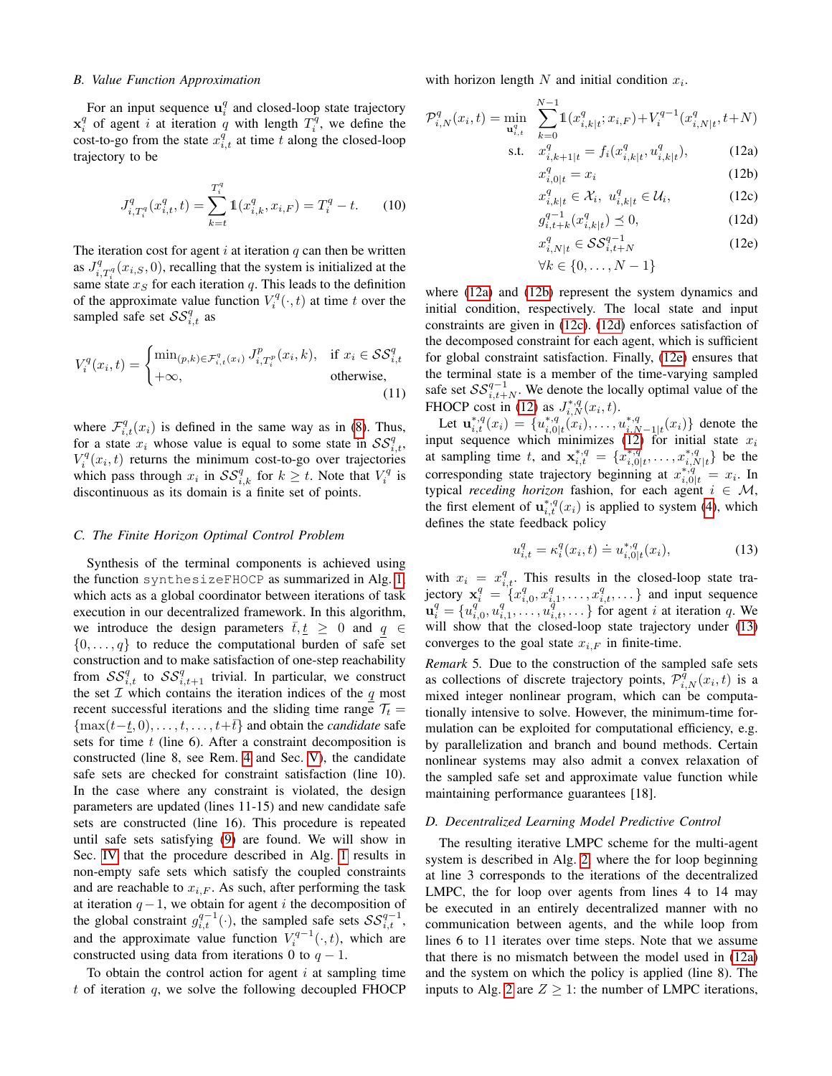#### *B. Value Function Approximation*

For an input sequence  $\mathbf{u}_i^q$  and closed-loop state trajectory  $x_i^q$  of agent i at iteration q with length  $T_i^q$ , we define the cost-to-go from the state  $x_{i,t}^q$  at time t along the closed-loop trajectory to be

<span id="page-3-7"></span>
$$
J_{i,T_i^q}^q(x_{i,t}^q,t) = \sum_{k=t}^{T_i^q} 1\!\!1(x_{i,k}^q,x_{i,F}) = T_i^q - t. \tag{10}
$$

The iteration cost for agent  $i$  at iteration  $q$  can then be written as  $J_{i,T_i^q}^q(x_{i,S}, 0)$ , recalling that the system is initialized at the same state  $x_S$  for each iteration q. This leads to the definition of the approximate value function  $V_i^q(\cdot, t)$  at time t over the sampled safe set  $\mathcal{SS}_{i,t}^q$  as

$$
V_i^q(x_i, t) = \begin{cases} \min_{(p,k) \in \mathcal{F}_{i,t}^q(x_i)} J_{i,T_i^p}^p(x_i, k), & \text{if } x_i \in \mathcal{SS}_{i,t}^q\\ +\infty, & \text{otherwise,} \end{cases}
$$
(11)

where  $\mathcal{F}_{i,t}^q(x_i)$  is defined in the same way as in [\(8\)](#page-2-1). Thus, for a state  $x_i$  whose value is equal to some state in  $\mathcal{SS}_{i,t}^q$ ,  $V_i^q(x_i, t)$  returns the minimum cost-to-go over trajectories which pass through  $x_i$  in  $\mathcal{SS}_{i,k}^q$  for  $k \geq t$ . Note that  $V_i^q$  is discontinuous as its domain is a finite set of points.

#### *C. The Finite Horizon Optimal Control Problem*

Synthesis of the terminal components is achieved using the function synthesizeFHOCP as summarized in Alg. [1,](#page-4-1) which acts as a global coordinator between iterations of task execution in our decentralized framework. In this algorithm, we introduce the design parameters  $\bar{t}, \underline{t} \geq 0$  and  $q \in$  $\{0, \ldots, q\}$  to reduce the computational burden of safe set construction and to make satisfaction of one-step reachability from  $SS_{i,t}^q$  to  $SS_{i,t+1}^q$  trivial. In particular, we construct the set  $I$  which contains the iteration indices of the  $q$  most recent successful iterations and the sliding time range  $\mathcal{T}_t$  =  ${\max(t-t, 0), \ldots, t, \ldots, t+\overline{t}}$  and obtain the *candidate* safe sets for time  $t$  (line 6). After a constraint decomposition is constructed (line 8, see Rem. [4](#page-2-2) and Sec. [V\)](#page-5-0), the candidate safe sets are checked for constraint satisfaction (line 10). In the case where any constraint is violated, the design parameters are updated (lines 11-15) and new candidate safe sets are constructed (line 16). This procedure is repeated until safe sets satisfying [\(9\)](#page-2-3) are found. We will show in Sec. [IV](#page-4-0) that the procedure described in Alg. [1](#page-4-1) results in non-empty safe sets which satisfy the coupled constraints and are reachable to  $x_{i,F}$ . As such, after performing the task at iteration  $q-1$ , we obtain for agent i the decomposition of the global constraint  $g_{i,t}^{q-1}(\cdot)$ , the sampled safe sets  $SS_{i,t}^{q-1}$ , and the approximate value function  $V_i^{q-1}(\cdot,t)$ , which are constructed using data from iterations 0 to  $q - 1$ .

To obtain the control action for agent  $i$  at sampling time t of iteration  $q$ , we solve the following decoupled FHOCP with horizon length N and initial condition  $x_i$ .

$$
\mathcal{P}_{i,N}^q(x_i, t) = \min_{\mathbf{u}_{i,t}^q} \sum_{k=0}^{N-1} \mathbb{1}(x_{i,k|t}^q; x_{i,F}) + V_i^{q-1}(x_{i,N|t}^q, t+N)
$$
  
s.t.  $x_{i,k+1|t}^q = f_i(x_{i,k|t}^q, u_{i,k|t}^q)$ , (12a)

$$
x_q^{(k+1)l} = x_i
$$
\n
$$
(12b)
$$

<span id="page-3-5"></span><span id="page-3-2"></span><span id="page-3-1"></span><span id="page-3-0"></span>
$$
x_{i,k|t}^q \in \mathcal{X}_i, \ u_{i,k|t}^q \in \mathcal{U}_i,
$$
 (12c)

<span id="page-3-4"></span><span id="page-3-3"></span>
$$
g_{i,t+k}^{q-1}(x_{i,k|t}^q) \le 0,
$$
\n(12d)

$$
x_{i,N|t}^q \in \mathcal{SS}_{i,t+N}^{q-1}
$$
 (12e)

$$
\forall k \in \{0, \dots, N-1\}
$$

where [\(12a\)](#page-3-0) and [\(12b\)](#page-3-1) represent the system dynamics and initial condition, respectively. The local state and input constraints are given in [\(12c\)](#page-3-2). [\(12d\)](#page-3-3) enforces satisfaction of the decomposed constraint for each agent, which is sufficient for global constraint satisfaction. Finally, [\(12e\)](#page-3-4) ensures that the terminal state is a member of the time-varying sampled safe set  $SS_{i,t+N}^{q-1}$ . We denote the locally optimal value of the FHOCP cost in [\(12\)](#page-3-5) as  $J_{i,N}^{*,q}(x_i,t)$ .

<span id="page-3-8"></span>Let  $\mathbf{u}_{i,t}^{*,q}(x_i) = \{u_{i,0}^{*,q}\}$  $\chi_{i,0|t}^{*,q}(x_i), \ldots, u_{i,N}^{*,q}$  $\binom{*,q}{i,N-1|t}(x_i)$  denote the input sequence which minimizes [\(12\)](#page-3-5) for initial state  $x_i$ at sampling time t, and  $\mathbf{x}_{i,t}^{*,q} = \{x_{i,0}^{*,q}\}$  $x_{i,0|t}^{*,q}, \ldots, x_{i,N}^{*,q}$  $_{i,N|t}^{*,q}$ } be the corresponding state trajectory beginning at  $x_{i,0|t}^{*,q} = x_i$ . In typical *receding horizon* fashion, for each agent  $i \in \mathcal{M}$ , the first element of  $\mathbf{u}_{i,t}^{*,q}(x_i)$  is applied to system [\(4\)](#page-1-8), which defines the state feedback policy

<span id="page-3-6"></span>
$$
u_{i,t}^q = \kappa_i^q(x_i, t) \doteq u_{i,0|t}^{*,q}(x_i),
$$
\n(13)

with  $x_i = x_{i,t}^q$ . This results in the closed-loop state trajectory  $\mathbf{x}_i^q = \{x_{i,0}^q, x_{i,1}^q, \dots, x_{i,t}^q, \dots\}$  and input sequence  $\mathbf{u}_i^q = \{u_{i,0}^q, u_{i,1}^q, \dots, u_{i,t}^q, \dots\}$  for agent i at iteration q. We will show that the closed-loop state trajectory under  $(13)$ converges to the goal state  $x_{i,F}$  in finite-time.

*Remark* 5*.* Due to the construction of the sampled safe sets as collections of discrete trajectory points,  $\mathcal{P}_{i,N}^{\tilde{q}}(x_i,t)$  is a mixed integer nonlinear program, which can be computationally intensive to solve. However, the minimum-time formulation can be exploited for computational efficiency, e.g. by parallelization and branch and bound methods. Certain nonlinear systems may also admit a convex relaxation of the sampled safe set and approximate value function while maintaining performance guarantees [18].

# *D. Decentralized Learning Model Predictive Control*

The resulting iterative LMPC scheme for the multi-agent system is described in Alg. [2,](#page-4-2) where the for loop beginning at line 3 corresponds to the iterations of the decentralized LMPC, the for loop over agents from lines 4 to 14 may be executed in an entirely decentralized manner with no communication between agents, and the while loop from lines 6 to 11 iterates over time steps. Note that we assume that there is no mismatch between the model used in [\(12a\)](#page-3-0) and the system on which the policy is applied (line 8). The inputs to Alg. [2](#page-4-2) are  $Z \geq 1$ : the number of LMPC iterations,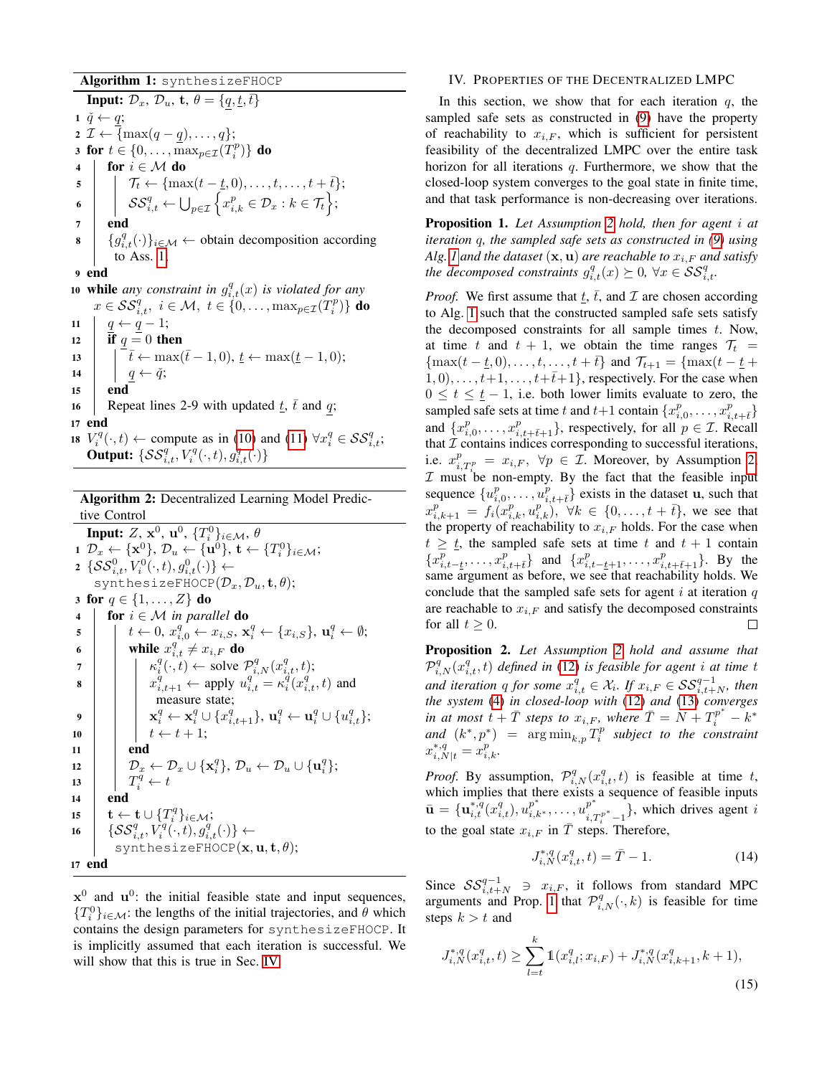Algorithm 1: synthesizeFHOCP

**Input:**  $\mathcal{D}_x$ ,  $\mathcal{D}_u$ , **t**,  $\theta = \{q, \underline{t}, \overline{t}\}$  $1 \tilde{q} \leftarrow q;$ 2  $\mathcal{I} \leftarrow {\max(q - q), \ldots, q};$ 3 for  $t \in \{0, \ldots, \max_{p \in \mathcal{I}}(T_i^p)\}\)$  do 4 for  $i \in \mathcal{M}$  do  $\begin{aligned} \mathsf{5} \quad | \quad | \quad \mathcal{T}_t \leftarrow \{\max(t-\underline{t},0),\ldots,t,\ldots,t+\overline{t}\}; \end{aligned}$  $\begin{aligned} \mathfrak{s} \quad \Big\vert \quad \Big\vert \quad \mathcal{SS}_{i,t}^q \leftarrow \bigcup_{p \in \mathcal{I}} \Big\lbrace x_{i,k}^p \in \mathcal{D}_x : k \in \mathcal{T}_t \Big\rbrace ; \end{aligned}$ 7 end  $\mathbf{s} \mid \{g_{i,t}^q(\cdot)\}_{i \in \mathcal{M}} \leftarrow \text{obtain decomposition according}$ to Ass. [1;](#page-2-0) 9 end 10 **while** any constraint in  $g_{i,t}^q(x)$  is violated for any  $x \in \mathcal{SS}_{i,t}^q, i \in \mathcal{M}, t \in \{0,\ldots,\max_{p \in \mathcal{I}}(T_i^p)\}\$  do 11  $q \leftarrow q - 1;$ 12 **if**  $q = 0$  then 13  $\left| \int \overline{t} \leftarrow \max(\overline{t}-1, 0), \underline{t} \leftarrow \max(\underline{t}-1, 0);$ 14  $\Big|$   $q \leftarrow \check{q};$ 15 end 16 Repeat lines 2-9 with updated  $\overline{t}$ ,  $\overline{t}$  and  $q$ ; 17 end 18  $V_i^q(\cdot, t) \leftarrow$  compute as in [\(10\)](#page-3-7) and [\(11\)](#page-3-8)  $\forall x_i^q \in \mathcal{SS}_{i,t}^q$ ;

<span id="page-4-1"></span>Output:  $\{SS_{i,t}^q, V_i^q(\cdot, t), g_{i,t}^q(\cdot)\}$ 

Algorithm 2: Decentralized Learning Model Predictive Control

Input:  $Z,\,\mathbf{x}^0,\,\mathbf{u}^0,\,\{T_i^0\}_{i\in\mathcal{M}},\,\theta$  $\mathbf{1} \,\, \mathcal{D}_x \leftarrow \{\mathbf{x}^0\}, \, \mathcal{D}_u \leftarrow \{\mathbf{u}^0\}, \, \mathbf{t} \leftarrow \{T_i^0\}_{i \in \mathcal{M}};$  $\mathfrak{c} \: \{ \mathcal{SS}_{i,t}^0, V_i^0(\cdot, t), g_{i,t}^0(\cdot)\} \leftarrow$ synthesizeFHOCP $(\mathcal{D}_x, \mathcal{D}_u, \mathbf{t}, \theta)$ ; 3 for  $q \in \{1, ..., Z\}$  do 4 **for**  $i \in \mathcal{M}$  *in parallel* **do**  $\mathbf{s} \quad | \quad t \leftarrow 0, \, x_{i,0}^q \leftarrow x_{i,S}, \, \mathbf{x}_i^q \leftarrow \{x_{i,S}\}, \, \mathbf{u}_i^q \leftarrow \emptyset;$ 6 while  $x_{i,t}^q \neq x_{i,F}$  do  $\tau$  |  $\kappa_i^q(\cdot, t) \leftarrow \text{solve } \mathcal{P}_{i,N}^q(x_{i,t}^q, t);$ **8**  $x_{i,t+1}^q \leftarrow$  apply  $u_{i,t}^q = \kappa_i^q(x_{i,t}^q, t)$  and measure state;  $\quad \ \, \mathbf{y} \text{ is } \quad \, \mathbf{y} \text{ is } \mathbf{x}_i^q \leftarrow \mathbf{x}_i^q \cup \{x_{i,t+1}^q\}, \, \mathbf{u}_i^q \leftarrow \mathbf{u}_i^q \cup \{u_{i,t}^q\};$ 10  $\vert \vert \vert t \leftarrow t + 1;$  $11$  end  $\begin{array}{ccc} \textbf{12} & \left| & \mathcal{D}_x \leftarrow \mathcal{D}_x \cup \{\mathbf{x}^q_i\}, \, \mathcal{D}_u \leftarrow \mathcal{D}_u \cup \{\mathbf{u}^q_i\}; \end{array} \right. \end{array}$ 13  $T_i^q \leftarrow t$ <sup>14</sup> end  $\mathbf{t} \leftarrow \mathbf{t} \cup \{T^q_i\}_{i\in\mathcal{M}};$ 16  $\left\{\mathcal{SS}_{i,t}^q, V_i^q(\cdot,t), g_{i,t}^q(\cdot)\right\} \leftarrow$ synthesizeFHOCP $(\mathbf{x}, \mathbf{u}, \mathbf{t}, \theta)$ ; <sup>17</sup> end

<span id="page-4-2"></span> $x^0$  and  $u^0$ : the initial feasible state and input sequences,  ${T_i^0}_{i \in \mathcal{M}}$ : the lengths of the initial trajectories, and  $\theta$  which contains the design parameters for synthesizeFHOCP. It is implicitly assumed that each iteration is successful. We will show that this is true in Sec. [IV.](#page-4-0)

### <span id="page-4-0"></span>IV. PROPERTIES OF THE DECENTRALIZED LMPC

In this section, we show that for each iteration  $q$ , the sampled safe sets as constructed in [\(9\)](#page-2-3) have the property of reachability to  $x_{i,F}$ , which is sufficient for persistent feasibility of the decentralized LMPC over the entire task horizon for all iterations  $q$ . Furthermore, we show that the closed-loop system converges to the goal state in finite time, and that task performance is non-decreasing over iterations.

<span id="page-4-3"></span>Proposition 1. *Let Assumption [2](#page-2-4) hold, then for agent* i *at iteration* q*, the sampled safe sets as constructed in [\(9\)](#page-2-3) using Alg. 1* and the dataset  $(\mathbf{x}, \mathbf{u})$  are reachable to  $x_{i,F}$  and satisfy *the decomposed constraints*  $g_{i,t}^q(x) \succeq 0$ ,  $\forall x \in \mathcal{SS}_{i,t}^q$ .

*Proof.* We first assume that  $\underline{t}$ ,  $\overline{t}$ , and  $\mathcal I$  are chosen according to Alg. [1](#page-4-1) such that the constructed sampled safe sets satisfy the decomposed constraints for all sample times  $t$ . Now, at time t and  $t + 1$ , we obtain the time ranges  $\mathcal{T}_t$  =  ${\max(t - \underline{t}, 0), \ldots, t, \ldots, t + \overline{t}}$  and  $\mathcal{T}_{t+1} = {\max(t - \underline{t} + \underline{t})}$  $1, 0), \ldots, t+1, \ldots, t+\overline{t}+1\}$ , respectively. For the case when  $0 \le t \le t - 1$ , i.e. both lower limits evaluate to zero, the sampled safe sets at time t and  $t+1$  contain  $\{x_{i,0}^p, \ldots, x_{i,t+\bar{t}}^p\}$ and  $\{x_{i,0}^p, \ldots, x_{i,t+\bar{t}+1}^p\}$ , respectively, for all  $p \in \mathcal{I}$ . Recall that  $I$  contains indices corresponding to successful iterations, i.e.  $x_{i,T_i^p}^p = x_{i,F}, \forall p \in \mathcal{I}$ . Moreover, by Assumption [2,](#page-2-4)  $I$  must be non-empty. By the fact that the feasible input sequence  $\{u_{i,0}^p, \ldots, u_{i,t+\bar{t}}^p\}$  exists in the dataset u, such that  $x_{i,k+1}^p = f_i(x_{i,k}^p, u_{i,k}^p)$ ,  $\forall k \in \{0, \ldots, t + \overline{t}\}$ , we see that the property of reachability to  $x_{i,F}$  holds. For the case when  $t \geq t$ , the sampled safe sets at time t and  $t + 1$  contain  ${x_{i,t-\underline{t}}^p, \ldots, x_{i,t+\overline{t}}^p\}$  and  ${x_{i,t-\underline{t}+1}^p, \ldots, x_{i,t+\overline{t}+1}^p\}$ . By the same argument as before, we see that reachability holds. We conclude that the sampled safe sets for agent  $i$  at iteration  $q$ are reachable to  $x_{i,F}$  and satisfy the decomposed constraints for all  $t \geq 0$ .  $\Box$ 

<span id="page-4-6"></span>Proposition 2. *Let Assumption [2](#page-2-4) hold and assume that*  $\mathcal{P}_{i,N}^{q} (x_{i,t}^{q}, t)$  *defined in* [\(12\)](#page-3-5) *is feasible for agent i at time t* and iteration q for some  $x_{i,t}^q \in X_i$ . If  $x_{i,F} \in \mathcal{SS}_{i,t+N}^{q-1}$ , then *the system* [\(4\)](#page-1-8) *in closed-loop with* [\(12\)](#page-3-5) *and* [\(13\)](#page-3-6) *converges* ∗ *in at most*  $t + \bar{T}$  *steps to*  $x_{i,F}$ *, where*  $\bar{T} = N + T_i^{p^*} - k^*$  $and (k^*, p^*)$  =  $arg min_{k,p} T_i^p$  subject to the constraint  $x_{i,N|t}^{*,q} = x_{i,k}^p$ .

*Proof.* By assumption,  $\mathcal{P}_{i,N}^q(x_{i,t}^q, t)$  is feasible at time t, which implies that there exists a sequence of feasible inputs  $\bar{\mathbf{u}} = \{\mathbf{u}_{i,t}^{*,q}(x_{i,t}^q), u_{i,k^*}^{p^*}, \dots, u_{i,q}^{p^*}\}$  $\{F_{i,T_i^{p^*}-1}^{p}\}$ , which drives agent *i* to the goal state  $x_{i,F}$  in  $\overline{T}$  steps. Therefore,

<span id="page-4-5"></span><span id="page-4-4"></span>
$$
J_{i,N}^{*,q}(x_{i,t}^q, t) = \bar{T} - 1.
$$
 (14)

Since  $SS_{i,t+N}^{q-1} \ni x_{i,F}$ , it follows from standard MPC arguments and Prop. [1](#page-4-3) that  $\mathcal{P}^q_{i,N}(\cdot,k)$  is feasible for time steps  $k > t$  and

$$
J_{i,N}^{*,q}(x_{i,t}^q, t) \ge \sum_{l=t}^k \mathbb{1}(x_{i,l}^q; x_{i,F}) + J_{i,N}^{*,q}(x_{i,k+1}^q, k+1),
$$
\n(15)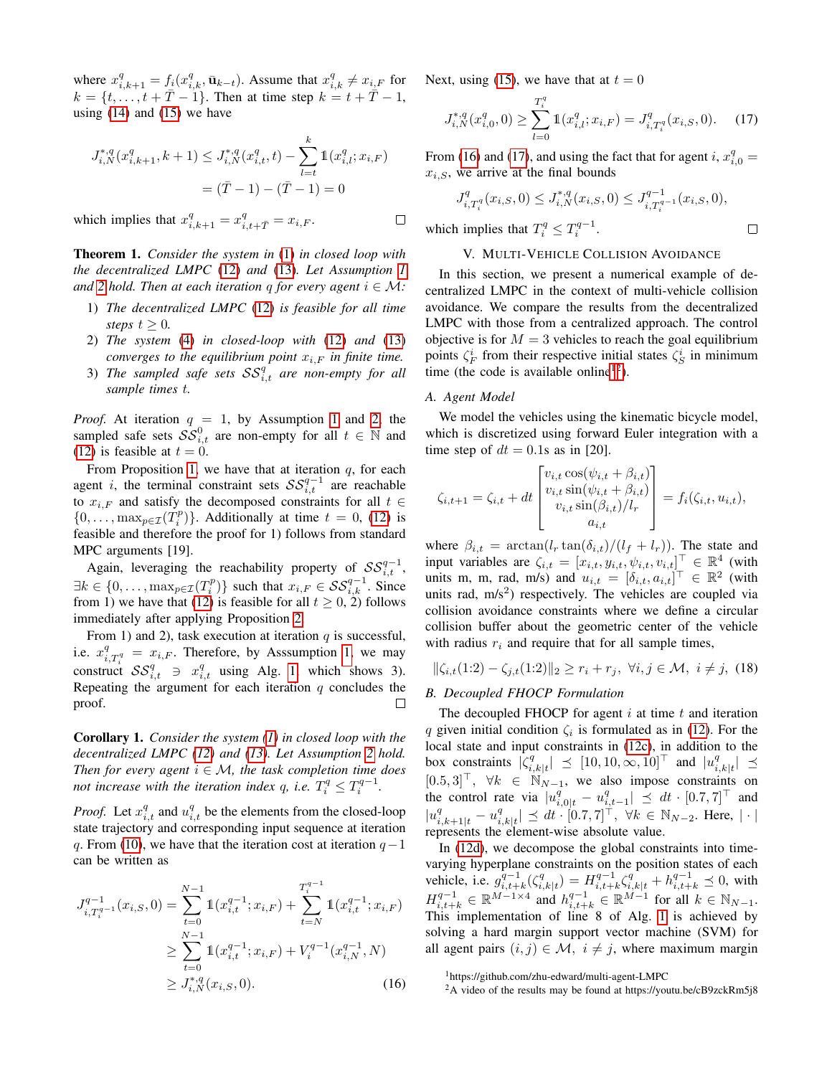where  $x_{i,k+1}^q = f_i(x_{i,k}^q, \bar{\mathbf{u}}_{k-t})$ . Assume that  $x_{i,k}^q \neq x_{i,F}$  for  $k = \{t, ..., t + \bar{T} - 1\}$ . Then at time step  $k = t + \bar{T} - 1$ , using  $(14)$  and  $(15)$  we have

$$
J_{i,N}^{*,q}(x_{i,k+1}^q, k+1) \leq J_{i,N}^{*,q}(x_{i,t}^q, t) - \sum_{l=t}^k \mathbb{1}(x_{i,l}^q; x_{i,F})
$$

$$
= (\bar{T} - 1) - (\bar{T} - 1) = 0
$$

which implies that  $x_{i,k+1}^q = x_{i,t+\overline{T}}^q = x_{i,F}$ .

Theorem 1. *Consider the system in* [\(1\)](#page-1-0) *in closed loop with the decentralized LMPC* [\(12\)](#page-3-5) *and* [\(13\)](#page-3-6)*. Let Assumption [1](#page-2-0) and* [2](#page-2-4) *hold. Then at each iteration* q *for every agent*  $i \in M$ *:* 

- 1) *The decentralized LMPC* [\(12\)](#page-3-5) *is feasible for all time steps*  $t \geq 0$ *.*
- 2) *The system* [\(4\)](#page-1-8) *in closed-loop with* [\(12\)](#page-3-5) *and* [\(13\)](#page-3-6) *converges to the equilibrium point*  $x_{i,F}$  *in finite time.*
- 3) The sampled safe sets  $SS_{i,t}^q$  are non-empty for all *sample times* t*.*

*Proof.* At iteration  $q = 1$  $q = 1$ , by Assumption 1 and [2,](#page-2-4) the sampled safe sets  $\mathcal{SS}_{i,t}^0$  are non-empty for all  $t \in \mathbb{N}$  and [\(12\)](#page-3-5) is feasible at  $t = 0$ .

From Proposition [1,](#page-4-3) we have that at iteration  $q$ , for each agent *i*, the terminal constraint sets  $SS_{i,t}^{q-1}$  are reachable to  $x_{i,F}$  and satisfy the decomposed constraints for all  $t \in$  $\{0, \ldots, \max_{p \in \mathcal{I}}(T_i^p)\}\)$ . Additionally at time  $t = 0$ , [\(12\)](#page-3-5) is feasible and therefore the proof for 1) follows from standard MPC arguments [19].

Again, leveraging the reachability property of  $SS_{i,t}^{q-1}$ ,  $\exists k \in \{0, \ldots, \max_{p \in \mathcal{I}}(T_i^p)\}\$  such that  $x_{i,F} \in \mathcal{SS}_{i,k}^{q-1}$ . Since from 1) we have that [\(12\)](#page-3-5) is feasible for all  $t \ge 0$ , 2) follows immediately after applying Proposition [2.](#page-4-6)

From 1) and 2), task execution at iteration  $q$  is successful, i.e.  $x_{i,T_i^q}^q = x_{i,F}$ . Therefore, by Asssumption [1,](#page-2-0) we may construct  $SS_{i,t}^q \text{ } \ni \text{ } x_{i,t}^q$  using Alg. [1,](#page-4-1) which shows 3). Repeating the argument for each iteration  $q$  concludes the proof. П

<span id="page-5-5"></span>Corollary 1. *Consider the system [\(1\)](#page-1-0) in closed loop with the decentralized LMPC [\(12\)](#page-3-5) and [\(13\)](#page-3-6). Let Assumption [2](#page-2-4) hold. Then for every agent*  $i \in \mathcal{M}$ *, the task completion time does not increase with the iteration index q, i.e.*  $T_i^q \le T_i^{q-1}$ .

*Proof.* Let  $x_{i,t}^q$  and  $u_{i,t}^q$  be the elements from the closed-loop state trajectory and corresponding input sequence at iteration q. From [\(10\)](#page-3-7), we have that the iteration cost at iteration  $q-1$ can be written as

$$
J_{i,T_i^{q-1}}^{q-1}(x_{i,S},0) = \sum_{t=0}^{N-1} \mathbb{1}(x_{i,t}^{q-1}; x_{i,F}) + \sum_{t=N}^{T_i^{q-1}} \mathbb{1}(x_{i,t}^{q-1}; x_{i,F})
$$
  
\n
$$
\geq \sum_{t=0}^{N-1} \mathbb{1}(x_{i,t}^{q-1}; x_{i,F}) + V_i^{q-1}(x_{i,N}^{q-1}, N)
$$
  
\n
$$
\geq J_{i,N}^{*,q}(x_{i,S}, 0).
$$
 (16)

Next, using [\(15\)](#page-4-5), we have that at  $t = 0$ 

$$
J_{i,N}^{*,q}(x_{i,0}^q,0) \ge \sum_{l=0}^{T_i^q} 1\!\!1(x_{i,l}^q;x_{i,F}) = J_{i,T_i^q}^q(x_{i,S},0). \tag{17}
$$

From [\(16\)](#page-5-1) and [\(17\)](#page-5-2), and using the fact that for agent i,  $x_{i,0}^q =$  $x_{i,S}$ , we arrive at the final bounds

$$
J_{i,T_i^q}^q(x_{i,S},0) \le J_{i,N}^{*,q}(x_{i,S},0) \le J_{i,T_i^{q-1}}^{q-1}(x_{i,S},0),
$$

<span id="page-5-2"></span> $\Box$ 

which implies that  $T_i^q \n\t\leq T_i^{q-1}$ .

 $\Box$ 

# V. MULTI-VEHICLE COLLISION AVOIDANCE

<span id="page-5-0"></span>In this section, we present a numerical example of decentralized LMPC in the context of multi-vehicle collision avoidance. We compare the results from the decentralized LMPC with those from a centralized approach. The control objective is for  $M = 3$  vehicles to reach the goal equilibrium points  $\zeta_F^i$  from their respective initial states  $\zeta_S^i$  in minimum time (the code is available online<sup>[1](#page-5-3)[2](#page-5-4)</sup>).

#### *A. Agent Model*

We model the vehicles using the kinematic bicycle model, which is discretized using forward Euler integration with a time step of  $dt = 0.1$ s as in [20].

$$
\zeta_{i,t+1} = \zeta_{i,t} + dt \begin{bmatrix} v_{i,t} \cos(\psi_{i,t} + \beta_{i,t}) \\ v_{i,t} \sin(\psi_{i,t} + \beta_{i,t}) \\ v_{i,t} \sin(\beta_{i,t}) / l_r \\ a_{i,t} \end{bmatrix} = f_i(\zeta_{i,t}, u_{i,t}),
$$

where  $\beta_{i,t} = \arctan(l_r \tan(\delta_{i,t})/(l_f + l_r))$ . The state and input variables are  $\zeta_{i,t} = [x_{i,t}, y_{i,t}, \psi_{i,t}, v_{i,t}]^\top \in \mathbb{R}^4$  (with units m, m, rad, m/s) and  $u_{i,t} = [\delta_{i,t}, a_{i,t}]^\top \in \mathbb{R}^2$  (with units rad,  $m/s<sup>2</sup>$ ) respectively. The vehicles are coupled via collision avoidance constraints where we define a circular collision buffer about the geometric center of the vehicle with radius  $r_i$  and require that for all sample times,

<span id="page-5-6"></span>
$$
\|\zeta_{i,t}(1:2) - \zeta_{j,t}(1:2)\|_2 \ge r_i + r_j, \ \forall i, j \in \mathcal{M}, \ i \neq j, \ (18)
$$

# *B. Decoupled FHOCP Formulation*

The decoupled FHOCP for agent  $i$  at time  $t$  and iteration q given initial condition  $\zeta_i$  is formulated as in [\(12\)](#page-3-5). For the local state and input constraints in [\(12c\)](#page-3-2), in addition to the box constraints  $|\zeta_i^q$  $\left| \begin{array}{l} q \\ i,k|t \end{array} \right| \leq [10,10,\infty,10]^\top$  and  $|u_i^q$  $|_{i,k|t}^q| \preceq$  $[0.5, 3]^\top$ ,  $\forall k \in \mathbb{N}_{N-1}$ , we also impose constraints on the control rate via  $|u_{i,0|t}^q - u_{i,t-1}^q| \leq dt \cdot [0.7, 7]^\top$  and  $|u_{i,k+1|t}^q - u_i^q$  $\|u_{i,k|t}^q\| \preceq dt \cdot [0.7, 7]^{\dagger}, \ \forall k \in \mathbb{N}_{N-2}.$  Here,  $|\cdot|$ represents the element-wise absolute value.

In [\(12d\)](#page-3-3), we decompose the global constraints into timevarying hyperplane constraints on the position states of each vehicle, i.e.  $g_{i,t+k}^{q-1}(\zeta_i^q)$  $\sum_{i,k|t}^{q} = H_{i,t+k}^{q-1} \zeta_{i,k|t}^{q} + h_{i,t+k}^{q-1} \preceq 0$ , with  $H_{i,t+k}^{q-1} \in \mathbb{R}^{M-1\times 4}$  and  $h_{i,t+k}^{q-1} \in \mathbb{R}^{M-1}$  for all  $k \in \mathbb{N}_{N-1}$ . This implementation of line 8 of Alg. [1](#page-4-1) is achieved by solving a hard margin support vector machine (SVM) for all agent pairs  $(i, j) \in \mathcal{M}$ ,  $i \neq j$ , where maximum margin

<span id="page-5-3"></span><span id="page-5-1"></span><sup>1</sup>https://github.com/zhu-edward/multi-agent-LMPC

<span id="page-5-4"></span> $^{2}$ A video of the results may be found at https://youtu.be/cB9zckRm5j8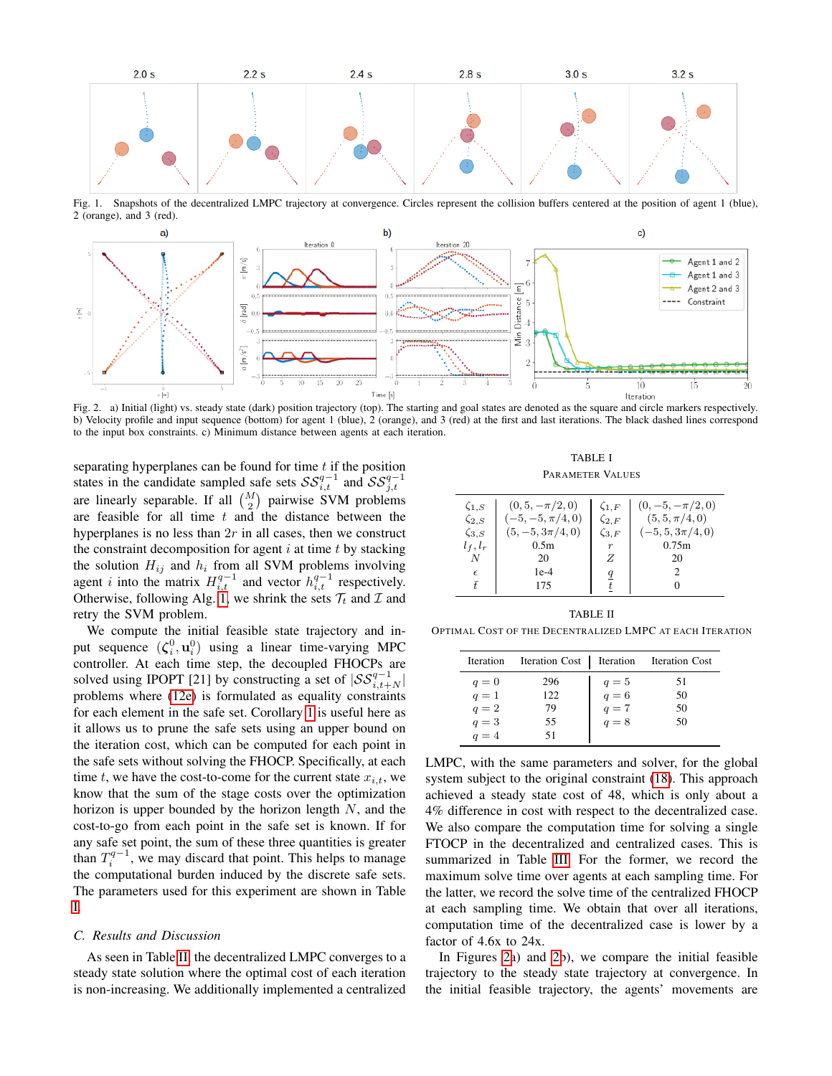

<span id="page-6-3"></span>Fig. 1. Snapshots of the decentralized LMPC trajectory at convergence. Circles represent the collision buffers centered at the position of agent 1 (blue), 2 (orange), and 3 (red).



<span id="page-6-2"></span>Fig. 2. a) Initial (light) vs. steady state (dark) position trajectory (top). The starting and goal states are denoted as the square and circle markers respectively. b) Velocity profile and input sequence (bottom) for agent 1 (blue), 2 (orange), and 3 (red) at the first and last iterations. The black dashed lines correspond to the input box constraints. c) Minimum distance between agents at each iteration.

separating hyperplanes can be found for time  $t$  if the position states in the candidate sampled safe sets  $SS_{i,t}^{q-1}$  and  $SS_{j,t}^{q-1}$  are linearly separable. If all  $\binom{M}{2}$  pairwise SVM problems are feasible for all time  $t$  and the distance between the hyperplanes is no less than  $2r$  in all cases, then we construct the constraint decomposition for agent  $i$  at time  $t$  by stacking the solution  $H_{ij}$  and  $h_i$  from all SVM problems involving agent *i* into the matrix  $H_{i,t}^{q-1}$  and vector  $h_{i,t}^{q-1}$  respectively. Otherwise, following Alg. [1,](#page-4-1) we shrink the sets  $\mathcal{T}_t$  and  $\mathcal{I}$  and retry the SVM problem.

We compute the initial feasible state trajectory and input sequence  $(\boldsymbol{\zeta}_i^0, \mathbf{u}_i^0)$  using a linear time-varying MPC controller. At each time step, the decoupled FHOCPs are solved using IPOPT [21] by constructing a set of  $|{\mathcal{SS}}_{i,t+N}^{q-1}|$ problems where [\(12e\)](#page-3-4) is formulated as equality constraints for each element in the safe set. Corollary [1](#page-5-5) is useful here as it allows us to prune the safe sets using an upper bound on the iteration cost, which can be computed for each point in the safe sets without solving the FHOCP. Specifically, at each time t, we have the cost-to-come for the current state  $x_{i,t}$ , we know that the sum of the stage costs over the optimization horizon is upper bounded by the horizon length  $N$ , and the cost-to-go from each point in the safe set is known. If for any safe set point, the sum of these three quantities is greater than  $T_i^{q-1}$ , we may discard that point. This helps to manage the computational burden induced by the discrete safe sets. The parameters used for this experiment are shown in Table [I.](#page-6-0)

#### *C. Results and Discussion*

As seen in Table [II,](#page-6-1) the decentralized LMPC converges to a steady state solution where the optimal cost of each iteration is non-increasing. We additionally implemented a centralized

TABLE I PARAMETER VALUES

<span id="page-6-0"></span>

|  | $(0, 5, -\pi/2, 0)$<br>$\zeta_{1,S}$<br>$(-5, -5, \pi/4, 0)$<br>$\zeta_{2,S}$<br>$(5, -5, 3\pi/4, 0)$<br>$\zeta_{3,S}$<br>0.5 <sub>m</sub><br>$l_f, l_r$<br>N<br>20<br>$1e-4$<br>$\epsilon$<br>Ŧ.<br>175 | $\zeta_{1,F}$<br>$\zeta_{2,F}$<br>$\zeta_{3,F}$<br>Ζ<br>$\overline{q}$ | $(0, -5, -\pi/2, 0)$<br>$(5, 5, \pi/4, 0)$<br>$(-5, 5, 3\pi/4, 0)$<br>0.75m<br>20<br>2 |
|--|----------------------------------------------------------------------------------------------------------------------------------------------------------------------------------------------------------|------------------------------------------------------------------------|----------------------------------------------------------------------------------------|
|--|----------------------------------------------------------------------------------------------------------------------------------------------------------------------------------------------------------|------------------------------------------------------------------------|----------------------------------------------------------------------------------------|

# TABLE II

<span id="page-6-1"></span>OPTIMAL COST OF THE DECENTRALIZED LMPC AT EACH ITERATION

| Iteration |     |                                                         | Iteration Cost   Iteration Iteration Cost |
|-----------|-----|---------------------------------------------------------|-------------------------------------------|
| $q=0$     | 296 |                                                         | 51                                        |
| $q=1$     | 122 | $\begin{array}{l} q=5 \\ q=6 \\ q=7 \\ q=8 \end{array}$ | 50                                        |
| $q=2$     | 79  |                                                         | 50                                        |
| $q=3$     | 55  |                                                         | 50                                        |
| $q=4$     | 51  |                                                         |                                           |

LMPC, with the same parameters and solver, for the global system subject to the original constraint [\(18\)](#page-5-6). This approach achieved a steady state cost of 48, which is only about a 4% difference in cost with respect to the decentralized case. We also compare the computation time for solving a single FTOCP in the decentralized and centralized cases. This is summarized in Table [III.](#page-7-0) For the former, we record the maximum solve time over agents at each sampling time. For the latter, we record the solve time of the centralized FHOCP at each sampling time. We obtain that over all iterations, computation time of the decentralized case is lower by a factor of 4.6x to 24x.

In Figures [2a](#page-6-2)) and [2b](#page-6-2)), we compare the initial feasible trajectory to the steady state trajectory at convergence. In the initial feasible trajectory, the agents' movements are